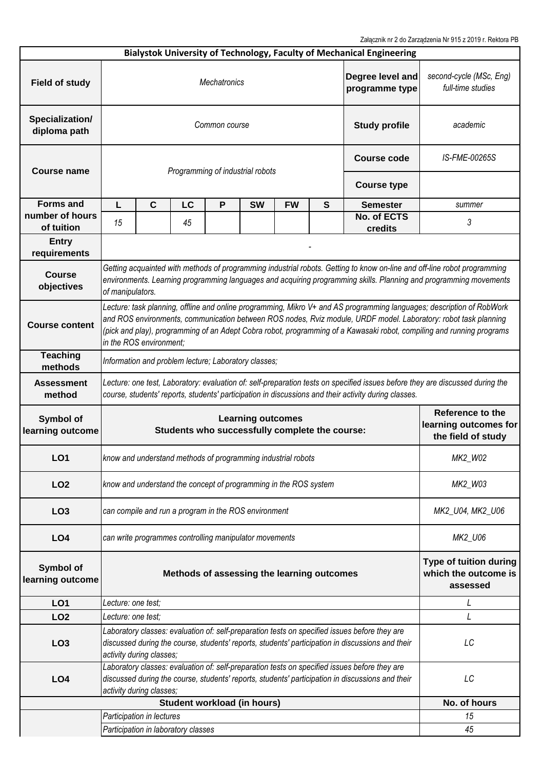|                                 |                                                                                                                                                                                                                                                                                                                                                                                              |                                                                                                                                                                                                                                     |                    |               |                                                                            |           |                                                            | <b>Bialystok University of Technology, Faculty of Mechanical Engineering</b>                                                                                                                      |                                                                 |  |  |
|---------------------------------|----------------------------------------------------------------------------------------------------------------------------------------------------------------------------------------------------------------------------------------------------------------------------------------------------------------------------------------------------------------------------------------------|-------------------------------------------------------------------------------------------------------------------------------------------------------------------------------------------------------------------------------------|--------------------|---------------|----------------------------------------------------------------------------|-----------|------------------------------------------------------------|---------------------------------------------------------------------------------------------------------------------------------------------------------------------------------------------------|-----------------------------------------------------------------|--|--|
| <b>Field of study</b>           | Degree level and<br>Mechatronics<br>programme type                                                                                                                                                                                                                                                                                                                                           |                                                                                                                                                                                                                                     |                    |               |                                                                            |           |                                                            | second-cycle (MSc, Eng)<br>full-time studies                                                                                                                                                      |                                                                 |  |  |
| Specialization/<br>diploma path | Common course<br><b>Study profile</b>                                                                                                                                                                                                                                                                                                                                                        |                                                                                                                                                                                                                                     |                    |               |                                                                            |           |                                                            | academic                                                                                                                                                                                          |                                                                 |  |  |
| <b>Course name</b>              |                                                                                                                                                                                                                                                                                                                                                                                              |                                                                                                                                                                                                                                     | <b>Course code</b> | IS-FME-00265S |                                                                            |           |                                                            |                                                                                                                                                                                                   |                                                                 |  |  |
|                                 |                                                                                                                                                                                                                                                                                                                                                                                              |                                                                                                                                                                                                                                     |                    |               | Programming of industrial robots                                           |           |                                                            | <b>Course type</b>                                                                                                                                                                                |                                                                 |  |  |
| <b>Forms and</b>                | L                                                                                                                                                                                                                                                                                                                                                                                            | C                                                                                                                                                                                                                                   | LC                 | P             | <b>SW</b>                                                                  | <b>FW</b> | S                                                          | <b>Semester</b>                                                                                                                                                                                   | summer                                                          |  |  |
| number of hours<br>of tuition   | 15                                                                                                                                                                                                                                                                                                                                                                                           |                                                                                                                                                                                                                                     | 45                 |               |                                                                            |           |                                                            | No. of ECTS<br>credits                                                                                                                                                                            | 3                                                               |  |  |
| <b>Entry</b><br>requirements    |                                                                                                                                                                                                                                                                                                                                                                                              |                                                                                                                                                                                                                                     |                    |               |                                                                            |           |                                                            |                                                                                                                                                                                                   |                                                                 |  |  |
| <b>Course</b><br>objectives     | Getting acquainted with methods of programming industrial robots. Getting to know on-line and off-line robot programming<br>environments. Learning programming languages and acquiring programming skills. Planning and programming movements<br>of manipulators.                                                                                                                            |                                                                                                                                                                                                                                     |                    |               |                                                                            |           |                                                            |                                                                                                                                                                                                   |                                                                 |  |  |
| <b>Course content</b>           | Lecture: task planning, offline and online programming, Mikro V+ and AS programming languages; description of RobWork<br>and ROS environments, communication between ROS nodes, Rviz module, URDF model. Laboratory: robot task planning<br>(pick and play), programming of an Adept Cobra robot, programming of a Kawasaki robot, compiling and running programs<br>in the ROS environment: |                                                                                                                                                                                                                                     |                    |               |                                                                            |           |                                                            |                                                                                                                                                                                                   |                                                                 |  |  |
| <b>Teaching</b><br>methods      | Information and problem lecture; Laboratory classes;                                                                                                                                                                                                                                                                                                                                         |                                                                                                                                                                                                                                     |                    |               |                                                                            |           |                                                            |                                                                                                                                                                                                   |                                                                 |  |  |
| <b>Assessment</b><br>method     | Lecture: one test, Laboratory: evaluation of: self-preparation tests on specified issues before they are discussed during the<br>course, students' reports, students' participation in discussions and their activity during classes.                                                                                                                                                        |                                                                                                                                                                                                                                     |                    |               |                                                                            |           |                                                            |                                                                                                                                                                                                   |                                                                 |  |  |
| Symbol of<br>learning outcome   |                                                                                                                                                                                                                                                                                                                                                                                              |                                                                                                                                                                                                                                     |                    |               | <b>Learning outcomes</b><br>Students who successfully complete the course: |           |                                                            |                                                                                                                                                                                                   | Reference to the<br>learning outcomes for<br>the field of study |  |  |
| LO <sub>1</sub>                 |                                                                                                                                                                                                                                                                                                                                                                                              |                                                                                                                                                                                                                                     |                    |               | know and understand methods of programming industrial robots               |           |                                                            |                                                                                                                                                                                                   | MK2_W02                                                         |  |  |
| LO <sub>2</sub>                 |                                                                                                                                                                                                                                                                                                                                                                                              |                                                                                                                                                                                                                                     |                    |               | know and understand the concept of programming in the ROS system           |           |                                                            |                                                                                                                                                                                                   | MK2_W03                                                         |  |  |
| LO <sub>3</sub>                 |                                                                                                                                                                                                                                                                                                                                                                                              |                                                                                                                                                                                                                                     |                    |               | can compile and run a program in the ROS environment                       |           |                                                            |                                                                                                                                                                                                   | MK2_U04, MK2_U06                                                |  |  |
| LO <sub>4</sub>                 |                                                                                                                                                                                                                                                                                                                                                                                              |                                                                                                                                                                                                                                     |                    |               | can write programmes controlling manipulator movements                     |           |                                                            |                                                                                                                                                                                                   | MK2_U06                                                         |  |  |
| Symbol of<br>learning outcome   | Methods of assessing the learning outcomes                                                                                                                                                                                                                                                                                                                                                   |                                                                                                                                                                                                                                     |                    |               |                                                                            |           | Type of tuition during<br>which the outcome is<br>assessed |                                                                                                                                                                                                   |                                                                 |  |  |
| LO1                             | Lecture: one test;                                                                                                                                                                                                                                                                                                                                                                           |                                                                                                                                                                                                                                     |                    |               |                                                                            |           |                                                            |                                                                                                                                                                                                   | L                                                               |  |  |
| LO <sub>2</sub>                 | Lecture: one test;                                                                                                                                                                                                                                                                                                                                                                           |                                                                                                                                                                                                                                     |                    |               |                                                                            |           |                                                            |                                                                                                                                                                                                   | L                                                               |  |  |
| LO <sub>3</sub>                 |                                                                                                                                                                                                                                                                                                                                                                                              | activity during classes;                                                                                                                                                                                                            |                    |               |                                                                            |           |                                                            | Laboratory classes: evaluation of: self-preparation tests on specified issues before they are<br>discussed during the course, students' reports, students' participation in discussions and their | LC                                                              |  |  |
| LO <sub>4</sub>                 |                                                                                                                                                                                                                                                                                                                                                                                              | Laboratory classes: evaluation of: self-preparation tests on specified issues before they are<br>discussed during the course, students' reports, students' participation in discussions and their<br>LC<br>activity during classes; |                    |               |                                                                            |           |                                                            |                                                                                                                                                                                                   |                                                                 |  |  |
|                                 |                                                                                                                                                                                                                                                                                                                                                                                              | <b>Student workload (in hours)</b><br>No. of hours                                                                                                                                                                                  |                    |               |                                                                            |           |                                                            |                                                                                                                                                                                                   |                                                                 |  |  |
|                                 |                                                                                                                                                                                                                                                                                                                                                                                              | Participation in lectures                                                                                                                                                                                                           |                    |               |                                                                            |           |                                                            |                                                                                                                                                                                                   | 15                                                              |  |  |
|                                 |                                                                                                                                                                                                                                                                                                                                                                                              | Participation in laboratory classes                                                                                                                                                                                                 |                    |               |                                                                            |           |                                                            |                                                                                                                                                                                                   | 45                                                              |  |  |